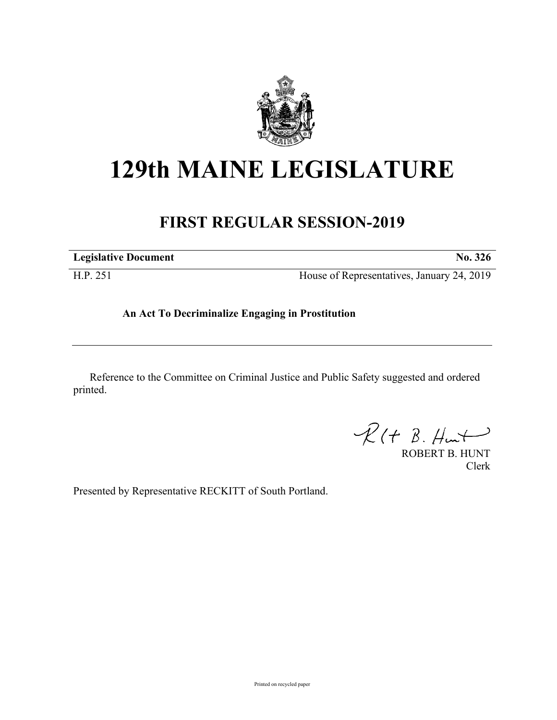

# **129th MAINE LEGISLATURE**

# **FIRST REGULAR SESSION-2019**

**Legislative Document No. 326**

H.P. 251 House of Representatives, January 24, 2019

## **An Act To Decriminalize Engaging in Prostitution**

Reference to the Committee on Criminal Justice and Public Safety suggested and ordered printed.

 $R(H B. Hmt)$ 

ROBERT B. HUNT Clerk

Presented by Representative RECKITT of South Portland.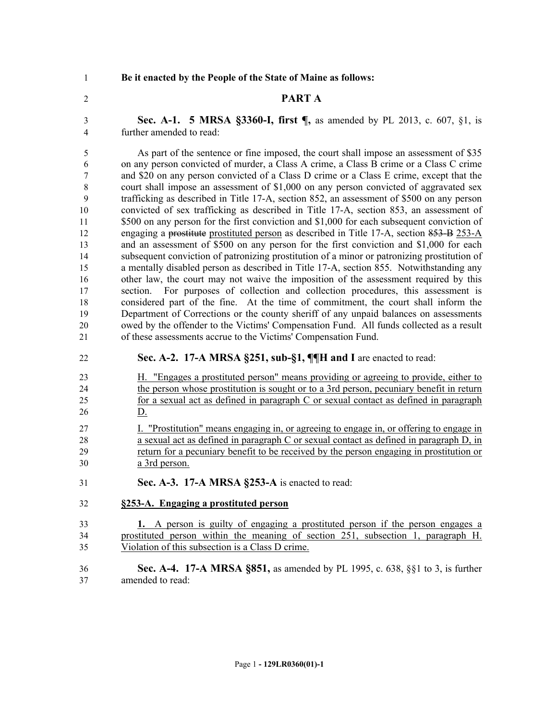**Be it enacted by the People of the State of Maine as follows:**

#### **PART A**

 **Sec. A-1. 5 MRSA §3360-I, first ¶,** as amended by PL 2013, c. 607, §1, is further amended to read:

5 As part of the sentence or fine imposed, the court shall impose an assessment of \$35 on any person convicted of murder, a Class A crime, a Class B crime or a Class C crime and \$20 on any person convicted of a Class D crime or a Class E crime, except that the court shall impose an assessment of \$1,000 on any person convicted of aggravated sex trafficking as described in Title 17-A, section 852, an assessment of \$500 on any person convicted of sex trafficking as described in Title 17-A, section 853, an assessment of \$500 on any person for the first conviction and \$1,000 for each subsequent conviction of engaging a prostitute prostituted person as described in Title 17-A, section 853-B 253-A and an assessment of \$500 on any person for the first conviction and \$1,000 for each subsequent conviction of patronizing prostitution of a minor or patronizing prostitution of a mentally disabled person as described in Title 17-A, section 855. Notwithstanding any 16 other law, the court may not waive the imposition of the assessment required by this section. For purposes of collection and collection procedures, this assessment is considered part of the fine. At the time of commitment, the court shall inform the Department of Corrections or the county sheriff of any unpaid balances on assessments owed by the offender to the Victims' Compensation Fund. All funds collected as a result of these assessments accrue to the Victims' Compensation Fund.

- **Sec. A-2. 17-A MRSA §251, sub-§1, ¶¶H and I** are enacted to read:
- H. "Engages a prostituted person" means providing or agreeing to provide, either to 24 the person whose prostitution is sought or to a 3rd person, pecuniary benefit in return for a sexual act as defined in paragraph C or sexual contact as defined in paragraph D.
- I. "Prostitution" means engaging in, or agreeing to engage in, or offering to engage in a sexual act as defined in paragraph C or sexual contact as defined in paragraph D, in return for a pecuniary benefit to be received by the person engaging in prostitution or a 3rd person.
- **Sec. A-3. 17-A MRSA §253-A** is enacted to read:
- **§253-A. Engaging a prostituted person**
- **1.** A person is guilty of engaging a prostituted person if the person engages a prostituted person within the meaning of section 251, subsection 1, paragraph H. Violation of this subsection is a Class D crime.
- **Sec. A-4. 17-A MRSA §851,** as amended by PL 1995, c. 638, §§1 to 3, is further amended to read: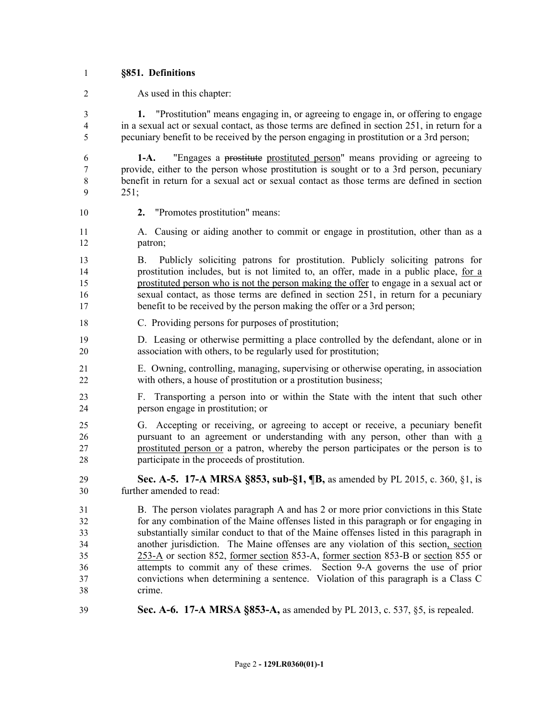#### **§851. Definitions**

As used in this chapter:

 **1.** "Prostitution" means engaging in, or agreeing to engage in, or offering to engage in a sexual act or sexual contact, as those terms are defined in section 251, in return for a pecuniary benefit to be received by the person engaging in prostitution or a 3rd person;

 **1-A.** "Engages a prostitute prostituted person" means providing or agreeing to provide, either to the person whose prostitution is sought or to a 3rd person, pecuniary benefit in return for a sexual act or sexual contact as those terms are defined in section 251;

- **2.** "Promotes prostitution" means:
- A. Causing or aiding another to commit or engage in prostitution, other than as a patron;

 B. Publicly soliciting patrons for prostitution. Publicly soliciting patrons for prostitution includes, but is not limited to, an offer, made in a public place, for a prostituted person who is not the person making the offer to engage in a sexual act or sexual contact, as those terms are defined in section 251, in return for a pecuniary 17 benefit to be received by the person making the offer or a 3rd person;

C. Providing persons for purposes of prostitution;

 D. Leasing or otherwise permitting a place controlled by the defendant, alone or in association with others, to be regularly used for prostitution;

- E. Owning, controlling, managing, supervising or otherwise operating, in association with others, a house of prostitution or a prostitution business;
- F. Transporting a person into or within the State with the intent that such other person engage in prostitution; or
- G. Accepting or receiving, or agreeing to accept or receive, a pecuniary benefit pursuant to an agreement or understanding with any person, other than with a prostituted person or a patron, whereby the person participates or the person is to participate in the proceeds of prostitution.
- **Sec. A-5. 17-A MRSA §853, sub-§1, ¶B,** as amended by PL 2015, c. 360, §1, is further amended to read:

 B. The person violates paragraph A and has 2 or more prior convictions in this State for any combination of the Maine offenses listed in this paragraph or for engaging in substantially similar conduct to that of the Maine offenses listed in this paragraph in another jurisdiction. The Maine offenses are any violation of this section, section 253-A or section 852, former section 853-A, former section 853-B or section 855 or attempts to commit any of these crimes. Section 9-A governs the use of prior convictions when determining a sentence. Violation of this paragraph is a Class C crime.

**Sec. A-6. 17-A MRSA §853-A,** as amended by PL 2013, c. 537, §5, is repealed.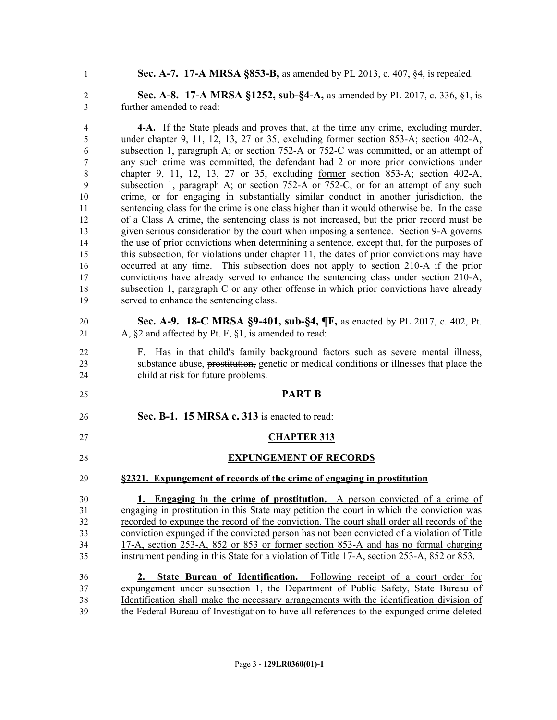**Sec. A-7. 17-A MRSA §853-B,** as amended by PL 2013, c. 407, §4, is repealed.

 **Sec. A-8. 17-A MRSA §1252, sub-§4-A,** as amended by PL 2017, c. 336, §1, is further amended to read:

 **4-A.** If the State pleads and proves that, at the time any crime, excluding murder, under chapter 9, 11, 12, 13, 27 or 35, excluding former section 853-A; section 402-A, subsection 1, paragraph A; or section 752-A or 752-C was committed, or an attempt of any such crime was committed, the defendant had 2 or more prior convictions under chapter 9, 11, 12, 13, 27 or 35, excluding former section 853-A; section 402-A, subsection 1, paragraph A; or section 752-A or 752-C, or for an attempt of any such crime, or for engaging in substantially similar conduct in another jurisdiction, the sentencing class for the crime is one class higher than it would otherwise be. In the case of a Class A crime, the sentencing class is not increased, but the prior record must be given serious consideration by the court when imposing a sentence. Section 9-A governs the use of prior convictions when determining a sentence, except that, for the purposes of this subsection, for violations under chapter 11, the dates of prior convictions may have occurred at any time. This subsection does not apply to section 210-A if the prior convictions have already served to enhance the sentencing class under section 210-A, subsection 1, paragraph C or any other offense in which prior convictions have already served to enhance the sentencing class.

 **Sec. A-9. 18-C MRSA §9-401, sub-§4, ¶F,** as enacted by PL 2017, c. 402, Pt. 21 A,  $\S$ 2 and affected by Pt. F,  $\S$ 1, is amended to read:

 F. Has in that child's family background factors such as severe mental illness, substance abuse, prostitution, genetic or medical conditions or illnesses that place the child at risk for future problems.

#### **PART B**

**Sec. B-1. 15 MRSA c. 313** is enacted to read:

# **CHAPTER 313**

## **EXPUNGEMENT OF RECORDS**

**§2321. Expungement of records of the crime of engaging in prostitution**

 **1. Engaging in the crime of prostitution.** A person convicted of a crime of engaging in prostitution in this State may petition the court in which the conviction was recorded to expunge the record of the conviction. The court shall order all records of the conviction expunged if the convicted person has not been convicted of a violation of Title 17-A, section 253-A, 852 or 853 or former section 853-A and has no formal charging instrument pending in this State for a violation of Title 17-A, section 253-A, 852 or 853.

 **2. State Bureau of Identification.** Following receipt of a court order for expungement under subsection 1, the Department of Public Safety, State Bureau of Identification shall make the necessary arrangements with the identification division of the Federal Bureau of Investigation to have all references to the expunged crime deleted